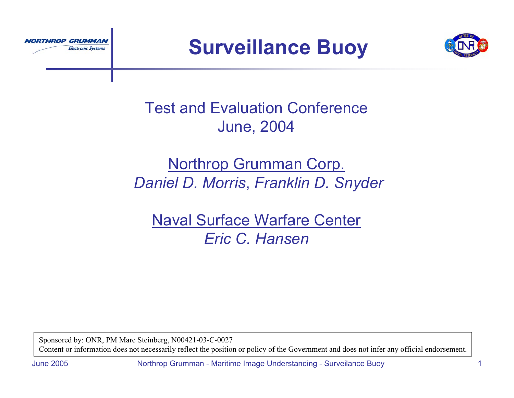



# Test and Evaluation ConferenceJune, 2004

### Northrop Grumman Corp. *Daniel D. Morris*, *Franklin D. Snyder*

Naval Surface Warfare Center *Eric C. Hansen*

Sponsored by: ONR, PM Marc Steinberg, N00421-03-C-0027 Content or information does not necessarily reflect the position or policy of the Government and does not infer any official endorsement.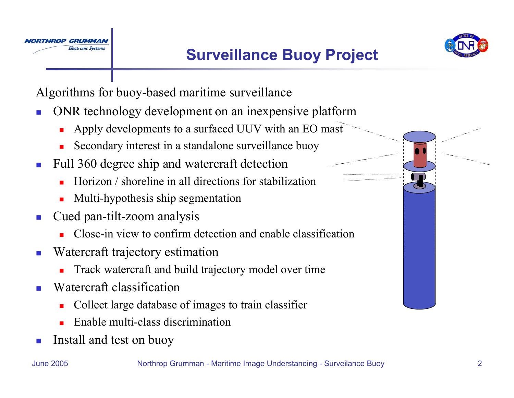



Algorithms for buoy-based maritime surveillance

- П ONR technology development on an inexpensive platform
	- $\blacksquare$ Apply developments to a surfaced UUV with an EO mast
	- П Secondary interest in a standalone surveillance buoy
- Full 360 degree ship and watercraft detection
	- П Horizon / shoreline in all directions for stabilization
	- $\blacksquare$ Multi-hypothesis ship segmentation
- Cued pan-tilt-zoom analysis
	- $\blacksquare$ Close-in view to confirm detection and enable classification
- Watercraft trajectory estimation
	- $\blacksquare$ Track watercraft and build trajectory model over time
- Watercraft classification
	- $\blacksquare$ Collect large database of images to train classifier
	- $\blacksquare$ Enable multi-class discrimination
- П Install and test on buoy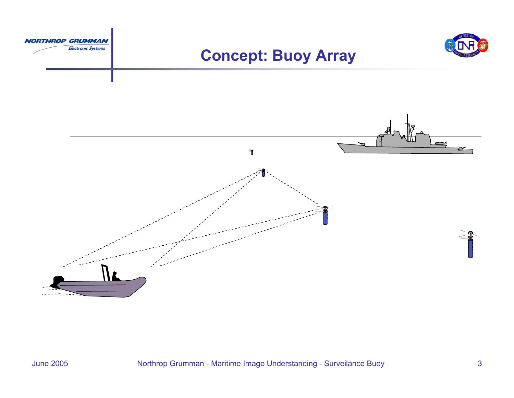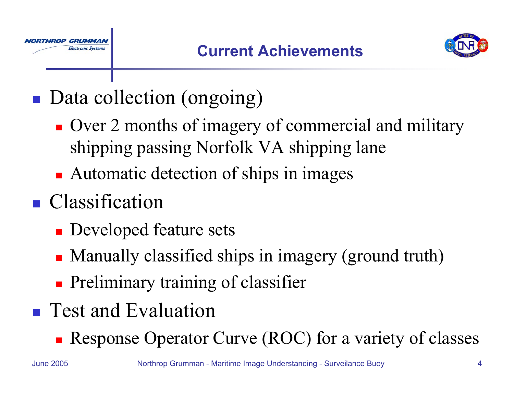

- **Data collection (ongoing)** 
	- **Over 2 months of imagery of commercial and military** shipping passing Norfolk VA shipping lane
	- **Automatic detection of ships in images**
- **Classification**

Electronic Systems

- **Developed feature sets**
- Manually classified ships in imagery (ground truth)
- **Preliminary training of classifier**
- **Test and Evaluation** 
	- **Response Operator Curve (ROC) for a variety of classes**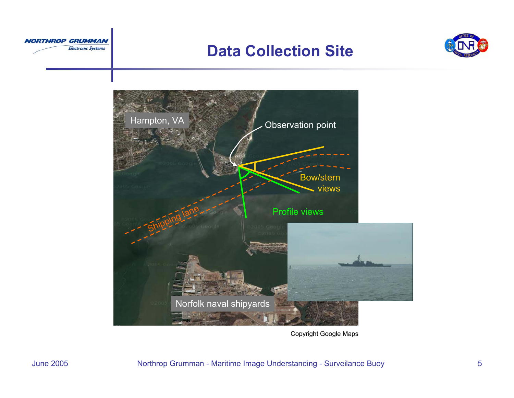

#### **Data Collection Site**





Copyright Google Maps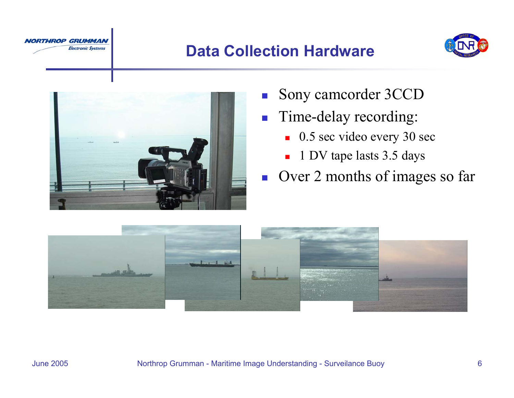

### **Data Collection Hardware**





- $\mathcal{C}^{\mathcal{A}}$ Sony camcorder 3CCD
- $\mathcal{L}_{\mathrm{max}}$  Time-delay recording:
	- 0.5 sec video every 30 sec
	- 1 DV tape lasts 3.5 days
- **Over 2 months of images so far**

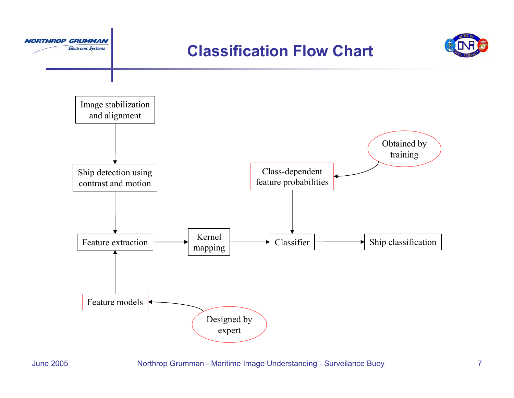





**NORTHROP GRUMMAN** 

**Electronic Systems**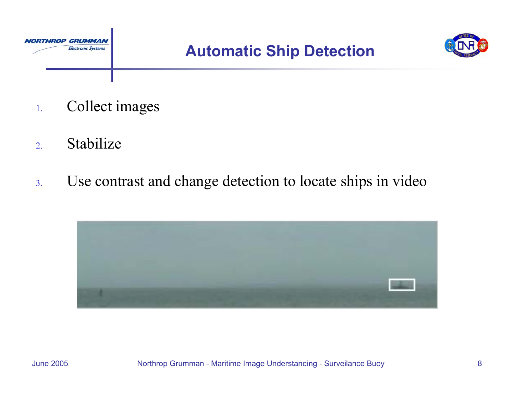



- 1.Collect images
- 2.Stabilize
- 3.Use contrast and change detection to locate ships in video

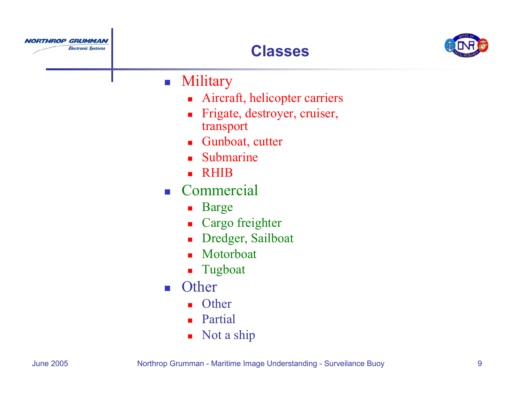





#### $\mathcal{L}_{\mathcal{A}}$ **Military**

- $\blacksquare$ Aircraft, helicopter carriers
- $\blacksquare$  Frigate, destroyer, cruiser, transport
- Gunboat, cutter
- Ξ Submarine
- Ξ RHIB
- $\sim$   $\parallel$  Commercial
	- **Barge**
	- $\blacksquare$ Cargo freighter
	- П Dredger, Sailboat
	- П Motorboat
	- $\blacksquare$ Tugboat
- $\sim 10$ **Other** 
	- Other
	- **Partial**
	- $\blacksquare$ Not a ship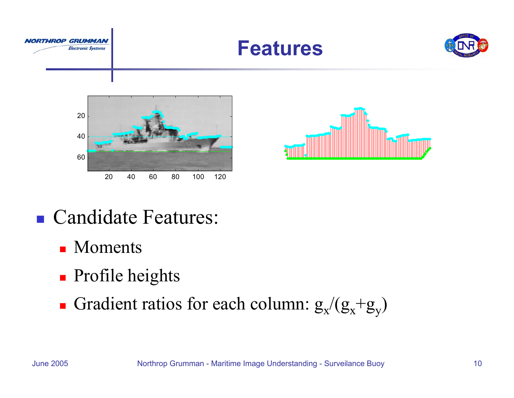









# ■ Candidate Features:

- Moments
- **Profile heights**
- Gradient ratios for each column:  $g_x/(g_x+g_y)$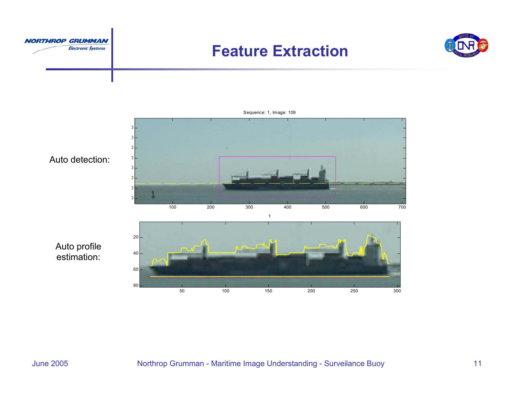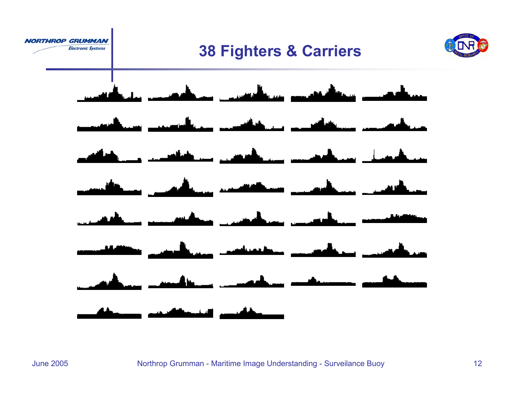





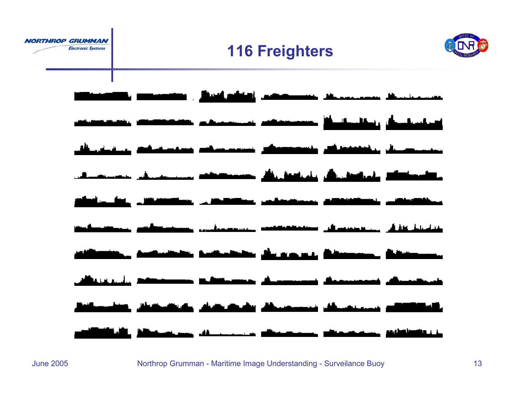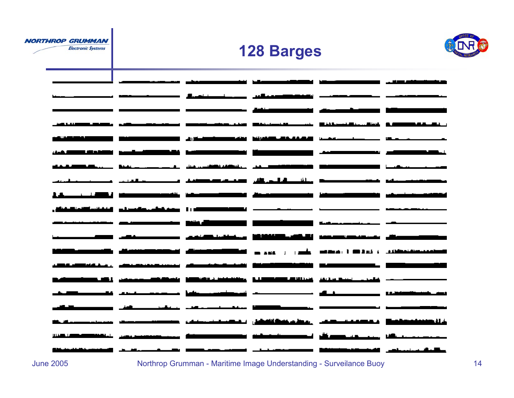**Electronic Systems** 

### **128 Barges**



|                                   | <u>and communication characteristics</u> in the contract become a series of the contract of the contract of the contract of the contract of the contract of the contract of the contract of the contract of the contract of the con |                                                                                                                                                                                                                                      |                                                                                                                       |                                                                                                                        |                                       |
|-----------------------------------|-------------------------------------------------------------------------------------------------------------------------------------------------------------------------------------------------------------------------------------|--------------------------------------------------------------------------------------------------------------------------------------------------------------------------------------------------------------------------------------|-----------------------------------------------------------------------------------------------------------------------|------------------------------------------------------------------------------------------------------------------------|---------------------------------------|
|                                   |                                                                                                                                                                                                                                     |                                                                                                                                                                                                                                      |                                                                                                                       |                                                                                                                        |                                       |
|                                   |                                                                                                                                                                                                                                     |                                                                                                                                                                                                                                      | <u>Arabian in Arkanska programmatik in de</u>                                                                         |                                                                                                                        |                                       |
|                                   |                                                                                                                                                                                                                                     |                                                                                                                                                                                                                                      | <u>man delengen</u>                                                                                                   |                                                                                                                        |                                       |
|                                   | is and income and proportional international contract and in the second contract of the second contract of the                                                                                                                      |                                                                                                                                                                                                                                      |                                                                                                                       |                                                                                                                        | <b>BARBARA BALLASA</b>                |
|                                   |                                                                                                                                                                                                                                     | <u>stand and the community of the standard construction of the community of the contract of the standard standard standard standard standard standard standard standard standard standard standard standard standard standard st</u> |                                                                                                                       |                                                                                                                        |                                       |
| and the state of the state of the |                                                                                                                                                                                                                                     |                                                                                                                                                                                                                                      | <u>istico e constituito di componente dell'Internet dell'Internet dell'Internet dell'Internet dell'Internet dell'</u> |                                                                                                                        |                                       |
|                                   |                                                                                                                                                                                                                                     | <u> Branch ann an a-mhair an am an an an an a-mhair ann an an a-mhair an an a-mhair ann an a-mhair ann an a-mhair an a-mhair ann an a-mhair ann an a-mhair ann an a-mhair ann an a-mhair ann an a-mhair ann an a-mhair ann an a-</u> |                                                                                                                       |                                                                                                                        | والمستحيل والمستحدث والمتعادية        |
|                                   | والمنافي والمترافي ومستمر ومستنبط والمستنب والمنادر والمنادر                                                                                                                                                                        |                                                                                                                                                                                                                                      |                                                                                                                       |                                                                                                                        | and the component of the component of |
|                                   | <u>iliku wa mwanamuzi wa mwanamuzi kata wa mwana wa wakazi wa 1989 alianzi wa 1989 aliyezi wa 1989 aliyezi wa 19</u>                                                                                                                |                                                                                                                                                                                                                                      |                                                                                                                       |                                                                                                                        |                                       |
|                                   | ادرا معدودات والمستمر التقانية التقاعية الأ                                                                                                                                                                                         |                                                                                                                                                                                                                                      |                                                                                                                       |                                                                                                                        |                                       |
|                                   |                                                                                                                                                                                                                                     |                                                                                                                                                                                                                                      |                                                                                                                       |                                                                                                                        |                                       |
|                                   | ووسالك واستعدده استراق والتأكل والمتنا والمتناقص والمستحدثات                                                                                                                                                                        |                                                                                                                                                                                                                                      |                                                                                                                       |                                                                                                                        |                                       |
|                                   |                                                                                                                                                                                                                                     |                                                                                                                                                                                                                                      |                                                                                                                       | <b>Bang And Market and the second and the second construction of the second and the second second and the second </b>  |                                       |
|                                   |                                                                                                                                                                                                                                     | فالاستكاثات المنابين والمتحدث المستحلم والمسموعية                                                                                                                                                                                    |                                                                                                                       |                                                                                                                        |                                       |
| الكالبة                           |                                                                                                                                                                                                                                     | <u> 1989 - استعمار المنافل المنافلة المستحدثة التي يستخففون المتحدث المستحدثة</u>                                                                                                                                                    |                                                                                                                       |                                                                                                                        |                                       |
|                                   |                                                                                                                                                                                                                                     | والمتألف والمستحدث والمتساهد ويناها ومتسجد                                                                                                                                                                                           |                                                                                                                       |                                                                                                                        | واستداء                               |
|                                   |                                                                                                                                                                                                                                     | الأقارب ومسترقي والمستنقص                                                                                                                                                                                                            |                                                                                                                       | <u> 2000 - Jan Jan Jawa Barat, maséhi pada salah sahi</u>                                                              |                                       |
|                                   |                                                                                                                                                                                                                                     | ومطمشة التشابل المكمسا فيستعان والمحارب                                                                                                                                                                                              |                                                                                                                       | <u>Andreas Andrews Andrews Andrews Andrews Andrews Andrews Andrews Andrews Andrews Andrews Andrews Andrews Andrews</u> | فالاصدعاء                             |
|                                   | in a component and the component of the component of the component of the component of the component                                                                                                                                |                                                                                                                                                                                                                                      |                                                                                                                       |                                                                                                                        |                                       |
|                                   |                                                                                                                                                                                                                                     |                                                                                                                                                                                                                                      | - -                                                                                                                   | <u>. 2011 - John Harrison, American Maria Maria Maria Maria Maria Maria Maria Maria Maria Maria Maria Maria Mari</u>   |                                       |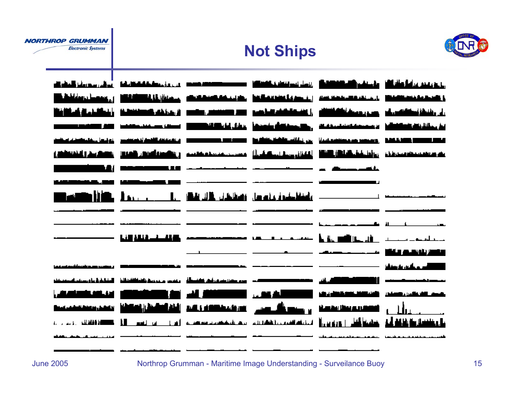#### **Not Ships**



|  |                                                                                                                      | الانتخاب المستخدمة المنافسة المتحدة المستخدمة المستخدمة المنافسة المستخدمة المنافسة المستخدمة المنافسة المستخدم                                                                                                               |  |
|--|----------------------------------------------------------------------------------------------------------------------|-------------------------------------------------------------------------------------------------------------------------------------------------------------------------------------------------------------------------------|--|
|  |                                                                                                                      | <u> Kaidon boon, Mali lihat muusi sisäänään ja kainneisetteet, suurunan ja miensä ja kainneiset j</u>                                                                                                                         |  |
|  |                                                                                                                      | <u>الغائلية المستقبل المستستقيلة، الأستان المستحد المستقبلة المستقبلة الاستقامة المستحد المستقبلة المناربي</u>                                                                                                                |  |
|  |                                                                                                                      | <u>annan an sanaka ann Millidde an ann an seamann ann ann ann an Millidde ann an </u>                                                                                                                                         |  |
|  |                                                                                                                      | astronomia, ja ja manastroni politikus provincia parametus ja sistemist vidu ja konservativa paras. Vidukse provincia                                                                                                         |  |
|  |                                                                                                                      | فالمتحدد المستحدد والمتحدد والمستحدد المنشوخ المتحدد المستحدد المستحدد المستحدد والمستحدد والمستحدد والمستحدد                                                                                                                 |  |
|  | <u> 1999 - 1999 - 1999 - 1999 - 1999 - 1999 - 1999 - 1999 - 1999 - 1999 - 1999 - 1999 - 1999 - 1999 - 1999 - 199</u> |                                                                                                                                                                                                                               |  |
|  |                                                                                                                      |                                                                                                                                                                                                                               |  |
|  |                                                                                                                      | <u> 1990 - 1990 - 1991 - 1992 - 1993 - 1994 - 1994 - 1994 - 1994 - 1994 - 1995 - 1996 - 1997 - 1998 - 1999 - 199</u>                                                                                                          |  |
|  |                                                                                                                      | an and the second company of the second company of the second contract of the second company of the second con                                                                                                                |  |
|  |                                                                                                                      |                                                                                                                                                                                                                               |  |
|  |                                                                                                                      | ▐ <u>▟▋▟▙▌▄▟▄▟▋▓</u> ▏▗ <del>▄▗▄▖▖▖▖▃</del> ▄▄▗▄▄▕ <del>▗▄▁▗▖▗▖▗▖</del> ▗▖▃▖▁▕▖▐▖▕▊▓▏▊▃▗▐▌▁▕▃▃▃▖▂▗▃▖▎▖▃▁                                                                                                                      |  |
|  |                                                                                                                      |                                                                                                                                                                                                                               |  |
|  |                                                                                                                      |                                                                                                                                                                                                                               |  |
|  |                                                                                                                      | م حدة المستخدمات التي التي تتالي التي يون مستخدمات التي يون من المسافر التابعات المستخدمة المنافقة المنافرة والمستخدمة                                                                                                        |  |
|  |                                                                                                                      | عد الأكسادات الأستانات المتعارف المستكل المروي المستكل التي تم المستكل الأول المستكل المستكل المستخدمات                                                                                                                       |  |
|  |                                                                                                                      | المستخدمة المنافسة المستخدمة المستخدمة المستخدمة المستخدمة المستخدمة المستخدمة المستخدمة المستخدمة ا                                                                                                                          |  |
|  |                                                                                                                      | ى المنافس المنافس المنافس المنافس المنافس المنافس المنافس المنافس المنافس المنافس المنافس المنافس المنافس المنافس المنافس المنافس المنافس المنافس المنافس المنافس المنافس المنافس المنافس المنافس المنافس المنافس المنافس الم |  |
|  |                                                                                                                      | <u>.A car i da a contra construir communicativam communicativam de alguna contra construir construir include a c</u>                                                                                                          |  |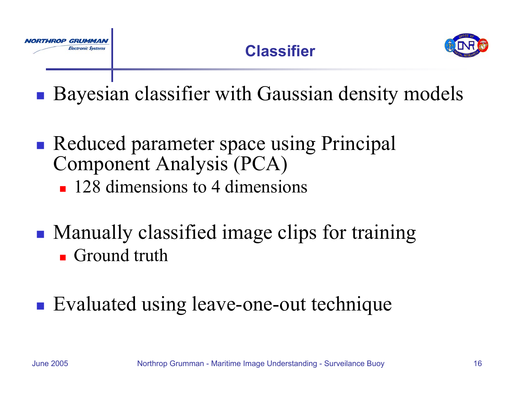



**Service Service Bayesian classifier with Gaussian density models** 

- Reduced parameter space using Principal Component Analysis (PCA)
	- **128 dimensions to 4 dimensions**
- Manually classified image clips for training **Ground truth**

#### ■ Evaluated using leave-one-out technique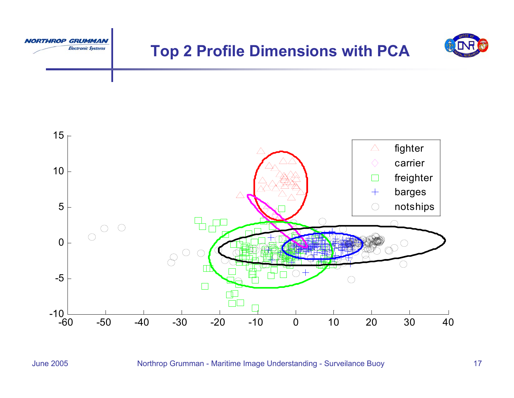

## **Top 2 Profile Dimensions with PCA**



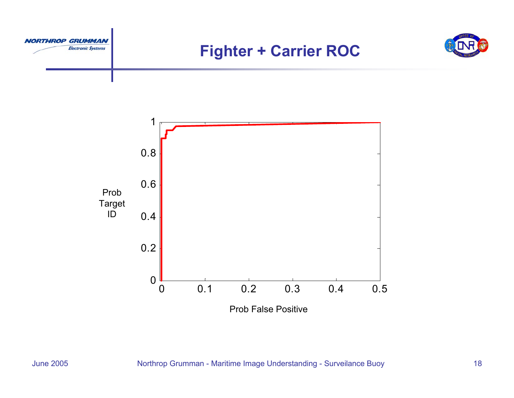

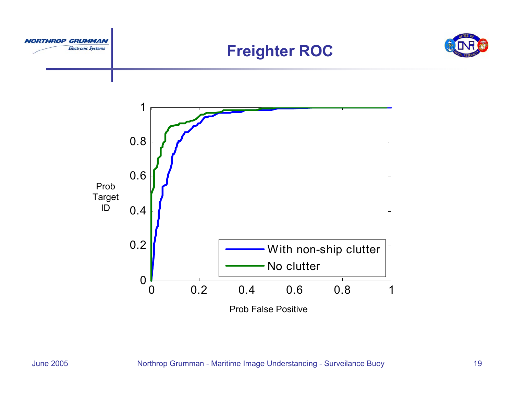